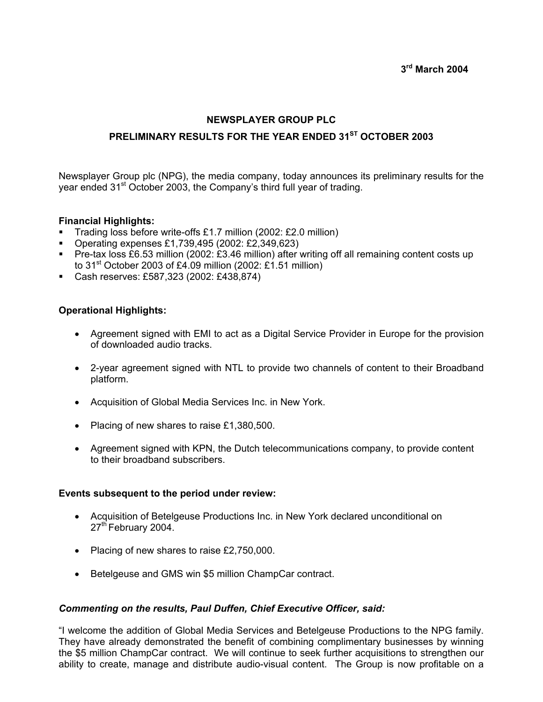# **NEWSPLAYER GROUP PLC**

# **PRELIMINARY RESULTS FOR THE YEAR ENDED 31ST OCTOBER 2003**

Newsplayer Group plc (NPG), the media company, today announces its preliminary results for the year ended 31<sup>st</sup> October 2003, the Company's third full year of trading.

#### **Financial Highlights:**

- Trading loss before write-offs £1.7 million (2002: £2.0 million)
- Operating expenses £1,739,495 (2002: £2,349,623)
- Pre-tax loss £6.53 million (2002: £3.46 million) after writing off all remaining content costs up to  $31<sup>st</sup>$  October 2003 of £4.09 million (2002: £1.51 million)
- Cash reserves: £587,323 (2002: £438,874)

## **Operational Highlights:**

- Agreement signed with EMI to act as a Digital Service Provider in Europe for the provision of downloaded audio tracks.
- 2-year agreement signed with NTL to provide two channels of content to their Broadband platform.
- Acquisition of Global Media Services Inc. in New York.
- Placing of new shares to raise £1,380,500.
- Agreement signed with KPN, the Dutch telecommunications company, to provide content to their broadband subscribers.

#### **Events subsequent to the period under review:**

- Acquisition of Betelgeuse Productions Inc. in New York declared unconditional on 27<sup>th</sup> February 2004.
- Placing of new shares to raise £2,750,000.
- Betelgeuse and GMS win \$5 million ChampCar contract.

#### *Commenting on the results, Paul Duffen, Chief Executive Officer, said:*

"I welcome the addition of Global Media Services and Betelgeuse Productions to the NPG family. They have already demonstrated the benefit of combining complimentary businesses by winning the \$5 million ChampCar contract. We will continue to seek further acquisitions to strengthen our ability to create, manage and distribute audio-visual content. The Group is now profitable on a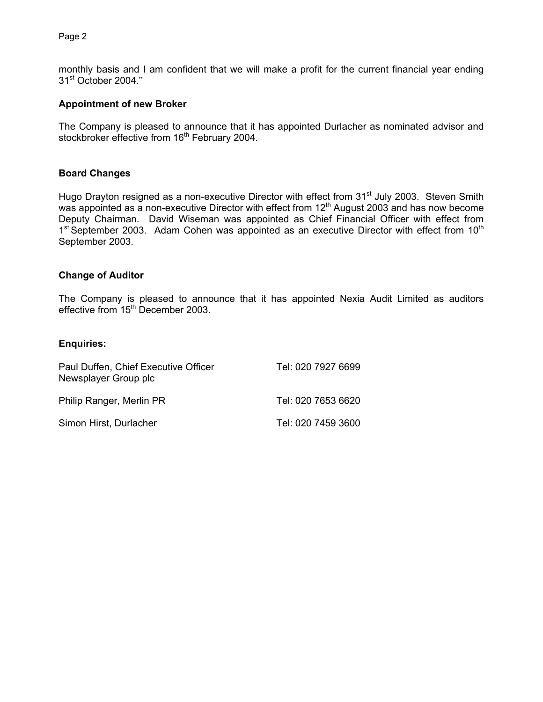Page 2

monthly basis and I am confident that we will make a profit for the current financial year ending 31st October 2004."

#### **Appointment of new Broker**

The Company is pleased to announce that it has appointed Durlacher as nominated advisor and stockbroker effective from 16<sup>th</sup> February 2004.

#### **Board Changes**

Hugo Drayton resigned as a non-executive Director with effect from 31<sup>st</sup> July 2003. Steven Smith was appointed as a non-executive Director with effect from  $12<sup>th</sup>$  August 2003 and has now become Deputy Chairman. David Wiseman was appointed as Chief Financial Officer with effect from  $1<sup>st</sup>$  September 2003. Adam Cohen was appointed as an executive Director with effect from  $10<sup>th</sup>$ September 2003.

#### **Change of Auditor**

The Company is pleased to announce that it has appointed Nexia Audit Limited as auditors effective from 15<sup>th</sup> December 2003.

#### **Enquiries:**

| Paul Duffen, Chief Executive Officer<br>Newsplayer Group plc | Tel: 020 7927 6699 |
|--------------------------------------------------------------|--------------------|
| Philip Ranger, Merlin PR                                     | Tel: 020 7653 6620 |
| Simon Hirst, Durlacher                                       | Tel: 020 7459 3600 |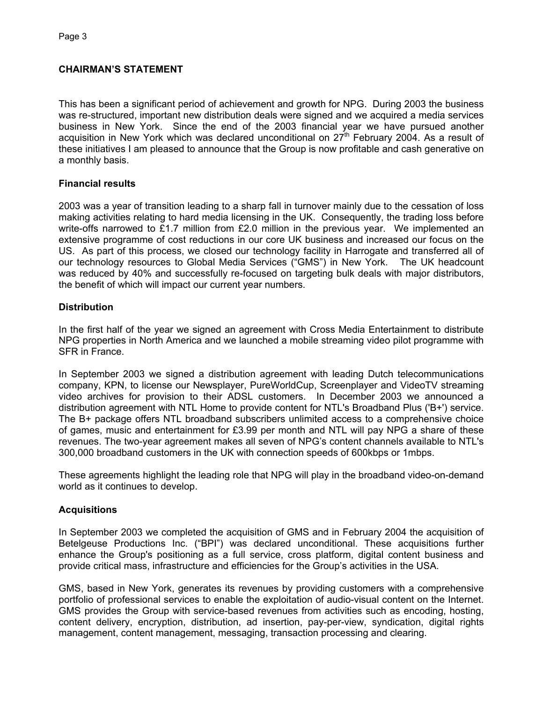# **CHAIRMAN'S STATEMENT**

This has been a significant period of achievement and growth for NPG. During 2003 the business was re-structured, important new distribution deals were signed and we acquired a media services business in New York. Since the end of the 2003 financial year we have pursued another acquisition in New York which was declared unconditional on  $27<sup>th</sup>$  February 2004. As a result of these initiatives I am pleased to announce that the Group is now profitable and cash generative on a monthly basis.

# **Financial results**

2003 was a year of transition leading to a sharp fall in turnover mainly due to the cessation of loss making activities relating to hard media licensing in the UK. Consequently, the trading loss before write-offs narrowed to £1.7 million from £2.0 million in the previous year. We implemented an extensive programme of cost reductions in our core UK business and increased our focus on the US. As part of this process, we closed our technology facility in Harrogate and transferred all of our technology resources to Global Media Services ("GMS") in New York. The UK headcount was reduced by 40% and successfully re-focused on targeting bulk deals with major distributors, the benefit of which will impact our current year numbers.

# **Distribution**

In the first half of the year we signed an agreement with Cross Media Entertainment to distribute NPG properties in North America and we launched a mobile streaming video pilot programme with SFR in France.

In September 2003 we signed a distribution agreement with leading Dutch telecommunications company, KPN, to license our Newsplayer, PureWorldCup, Screenplayer and VideoTV streaming video archives for provision to their ADSL customers. In December 2003 we announced a distribution agreement with NTL Home to provide content for NTL's Broadband Plus ('B+') service. The B+ package offers NTL broadband subscribers unlimited access to a comprehensive choice of games, music and entertainment for £3.99 per month and NTL will pay NPG a share of these revenues. The two-year agreement makes all seven of NPG's content channels available to NTL's 300,000 broadband customers in the UK with connection speeds of 600kbps or 1mbps.

These agreements highlight the leading role that NPG will play in the broadband video-on-demand world as it continues to develop.

# **Acquisitions**

In September 2003 we completed the acquisition of GMS and in February 2004 the acquisition of Betelgeuse Productions Inc. ("BPI") was declared unconditional. These acquisitions further enhance the Group's positioning as a full service, cross platform, digital content business and provide critical mass, infrastructure and efficiencies for the Group's activities in the USA.

GMS, based in New York, generates its revenues by providing customers with a comprehensive portfolio of professional services to enable the exploitation of audio-visual content on the Internet. GMS provides the Group with service-based revenues from activities such as encoding, hosting, content delivery, encryption, distribution, ad insertion, pay-per-view, syndication, digital rights management, content management, messaging, transaction processing and clearing.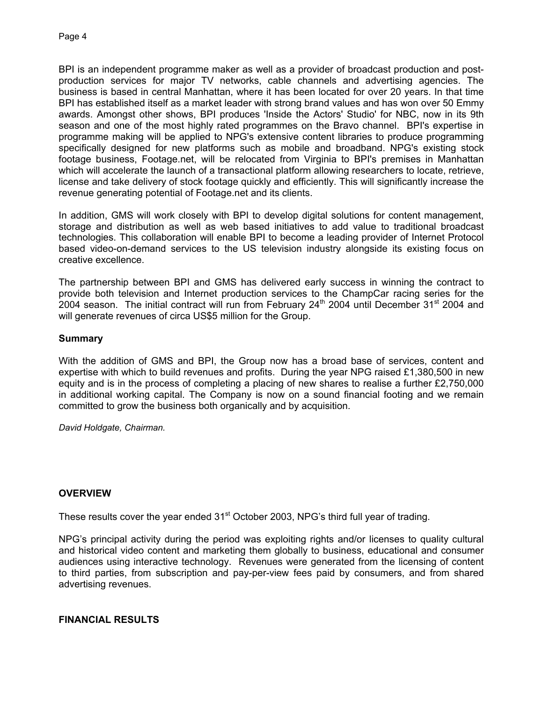BPI is an independent programme maker as well as a provider of broadcast production and postproduction services for major TV networks, cable channels and advertising agencies. The business is based in central Manhattan, where it has been located for over 20 years. In that time BPI has established itself as a market leader with strong brand values and has won over 50 Emmy awards. Amongst other shows, BPI produces 'Inside the Actors' Studio' for NBC, now in its 9th season and one of the most highly rated programmes on the Bravo channel. BPI's expertise in programme making will be applied to NPG's extensive content libraries to produce programming specifically designed for new platforms such as mobile and broadband. NPG's existing stock footage business, Footage.net, will be relocated from Virginia to BPI's premises in Manhattan which will accelerate the launch of a transactional platform allowing researchers to locate, retrieve, license and take delivery of stock footage quickly and efficiently. This will significantly increase the revenue generating potential of Footage.net and its clients.

In addition, GMS will work closely with BPI to develop digital solutions for content management, storage and distribution as well as web based initiatives to add value to traditional broadcast technologies. This collaboration will enable BPI to become a leading provider of Internet Protocol based video-on-demand services to the US television industry alongside its existing focus on creative excellence.

The partnership between BPI and GMS has delivered early success in winning the contract to provide both television and Internet production services to the ChampCar racing series for the 2004 season. The initial contract will run from February  $24<sup>th</sup>$  2004 until December  $31<sup>st</sup>$  2004 and will generate revenues of circa US\$5 million for the Group.

## **Summary**

With the addition of GMS and BPI, the Group now has a broad base of services, content and expertise with which to build revenues and profits. During the year NPG raised £1,380,500 in new equity and is in the process of completing a placing of new shares to realise a further £2,750,000 in additional working capital. The Company is now on a sound financial footing and we remain committed to grow the business both organically and by acquisition.

*David Holdgate, Chairman.* 

## **OVERVIEW**

These results cover the year ended  $31<sup>st</sup>$  October 2003, NPG's third full year of trading.

NPG's principal activity during the period was exploiting rights and/or licenses to quality cultural and historical video content and marketing them globally to business, educational and consumer audiences using interactive technology. Revenues were generated from the licensing of content to third parties, from subscription and pay-per-view fees paid by consumers, and from shared advertising revenues.

#### **FINANCIAL RESULTS**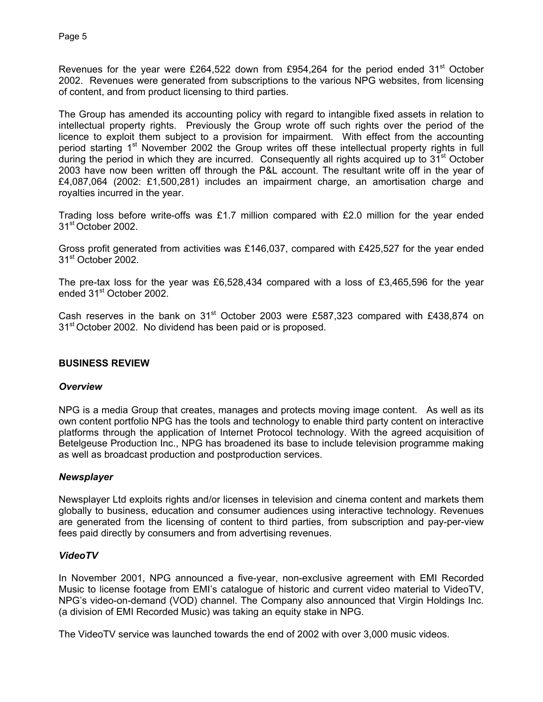Revenues for the year were £264,522 down from £954,264 for the period ended 31<sup>st</sup> October 2002. Revenues were generated from subscriptions to the various NPG websites, from licensing of content, and from product licensing to third parties.

The Group has amended its accounting policy with regard to intangible fixed assets in relation to intellectual property rights. Previously the Group wrote off such rights over the period of the licence to exploit them subject to a provision for impairment. With effect from the accounting period starting 1<sup>st</sup> November 2002 the Group writes off these intellectual property rights in full during the period in which they are incurred. Consequently all rights acquired up to 31<sup>st</sup> October 2003 have now been written off through the P&L account. The resultant write off in the year of £4,087,064 (2002: £1,500,281) includes an impairment charge, an amortisation charge and royalties incurred in the year.

Trading loss before write-offs was £1.7 million compared with £2.0 million for the year ended 31st October 2002.

Gross profit generated from activities was £146,037, compared with £425,527 for the year ended 31<sup>st</sup> October 2002.

The pre-tax loss for the year was £6,528,434 compared with a loss of £3,465,596 for the year ended 31<sup>st</sup> October 2002.

Cash reserves in the bank on  $31^{st}$  October 2003 were £587,323 compared with £438,874 on 31<sup>st</sup> October 2002. No dividend has been paid or is proposed.

## **BUSINESS REVIEW**

## *Overview*

NPG is a media Group that creates, manages and protects moving image content. As well as its own content portfolio NPG has the tools and technology to enable third party content on interactive platforms through the application of Internet Protocol technology. With the agreed acquisition of Betelgeuse Production Inc., NPG has broadened its base to include television programme making as well as broadcast production and postproduction services.

## *Newsplayer*

Newsplayer Ltd exploits rights and/or licenses in television and cinema content and markets them globally to business, education and consumer audiences using interactive technology. Revenues are generated from the licensing of content to third parties, from subscription and pay-per-view fees paid directly by consumers and from advertising revenues.

## *VideoTV*

In November 2001, NPG announced a five-year, non-exclusive agreement with EMI Recorded Music to license footage from EMI's catalogue of historic and current video material to VideoTV, NPG's video-on-demand (VOD) channel. The Company also announced that Virgin Holdings Inc. (a division of EMI Recorded Music) was taking an equity stake in NPG.

The VideoTV service was launched towards the end of 2002 with over 3,000 music videos.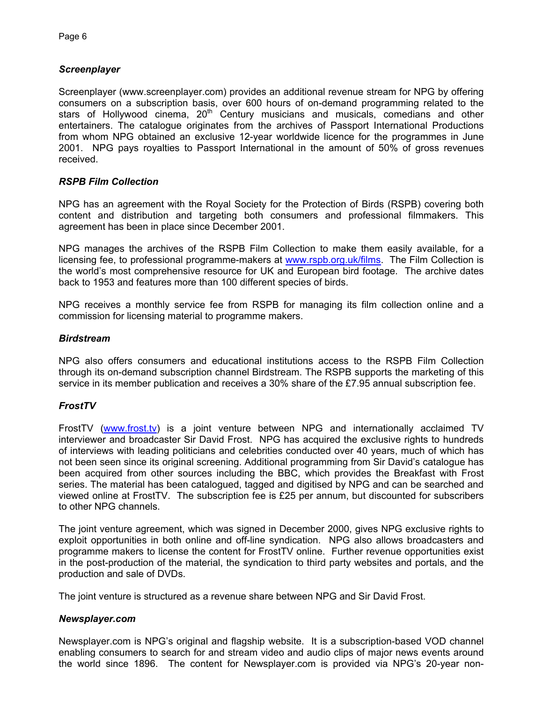# *Screenplayer*

Screenplayer (www.screenplayer.com) provides an additional revenue stream for NPG by offering consumers on a subscription basis, over 600 hours of on-demand programming related to the stars of Hollywood cinema,  $20<sup>th</sup>$  Century musicians and musicals, comedians and other entertainers. The catalogue originates from the archives of Passport International Productions from whom NPG obtained an exclusive 12-year worldwide licence for the programmes in June 2001. NPG pays royalties to Passport International in the amount of 50% of gross revenues received.

## *RSPB Film Collection*

NPG has an agreement with the Royal Society for the Protection of Birds (RSPB) covering both content and distribution and targeting both consumers and professional filmmakers. This agreement has been in place since December 2001.

NPG manages the archives of the RSPB Film Collection to make them easily available, for a licensing fee, to professional programme-makers at [www.rspb.org.uk/films.](http://www.rspb.org.uk/films) The Film Collection is the world's most comprehensive resource for UK and European bird footage. The archive dates back to 1953 and features more than 100 different species of birds.

NPG receives a monthly service fee from RSPB for managing its film collection online and a commission for licensing material to programme makers.

#### *Birdstream*

NPG also offers consumers and educational institutions access to the RSPB Film Collection through its on-demand subscription channel Birdstream. The RSPB supports the marketing of this service in its member publication and receives a 30% share of the £7.95 annual subscription fee.

## *FrostTV*

FrostTV ([www.frost.tv\)](http://www.frost.tv/) is a joint venture between NPG and internationally acclaimed TV interviewer and broadcaster Sir David Frost. NPG has acquired the exclusive rights to hundreds of interviews with leading politicians and celebrities conducted over 40 years, much of which has not been seen since its original screening. Additional programming from Sir David's catalogue has been acquired from other sources including the BBC, which provides the Breakfast with Frost series. The material has been catalogued, tagged and digitised by NPG and can be searched and viewed online at FrostTV. The subscription fee is £25 per annum, but discounted for subscribers to other NPG channels.

The joint venture agreement, which was signed in December 2000, gives NPG exclusive rights to exploit opportunities in both online and off-line syndication. NPG also allows broadcasters and programme makers to license the content for FrostTV online. Further revenue opportunities exist in the post-production of the material, the syndication to third party websites and portals, and the production and sale of DVDs.

The joint venture is structured as a revenue share between NPG and Sir David Frost.

#### *Newsplayer.com*

Newsplayer.com is NPG's original and flagship website. It is a subscription-based VOD channel enabling consumers to search for and stream video and audio clips of major news events around the world since 1896. The content for Newsplayer.com is provided via NPG's 20-year non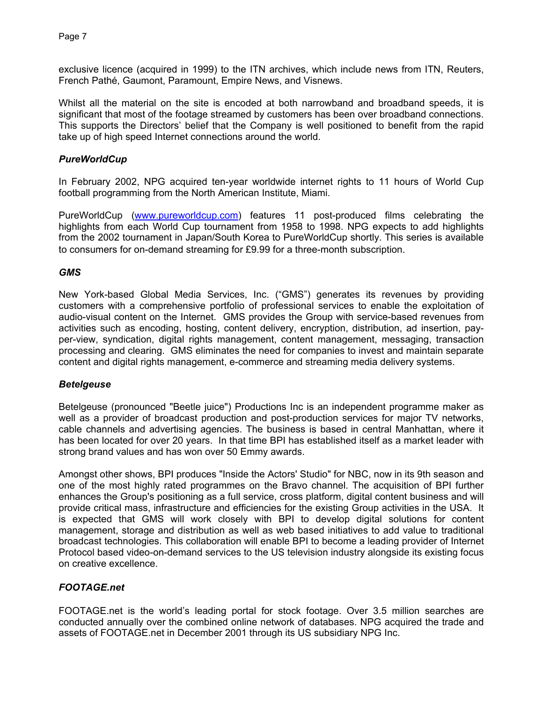exclusive licence (acquired in 1999) to the ITN archives, which include news from ITN, Reuters, French Pathé, Gaumont, Paramount, Empire News, and Visnews.

Whilst all the material on the site is encoded at both narrowband and broadband speeds, it is significant that most of the footage streamed by customers has been over broadband connections. This supports the Directors' belief that the Company is well positioned to benefit from the rapid take up of high speed Internet connections around the world.

## *PureWorldCup*

In February 2002, NPG acquired ten-year worldwide internet rights to 11 hours of World Cup football programming from the North American Institute, Miami.

PureWorldCup ([www.pureworldcup.com\)](http://www.pureworldcup.com/) features 11 post-produced films celebrating the highlights from each World Cup tournament from 1958 to 1998. NPG expects to add highlights from the 2002 tournament in Japan/South Korea to PureWorldCup shortly. This series is available to consumers for on-demand streaming for £9.99 for a three-month subscription.

## *GMS*

New York-based Global Media Services, Inc. ("GMS") generates its revenues by providing customers with a comprehensive portfolio of professional services to enable the exploitation of audio-visual content on the Internet. GMS provides the Group with service-based revenues from activities such as encoding, hosting, content delivery, encryption, distribution, ad insertion, payper-view, syndication, digital rights management, content management, messaging, transaction processing and clearing. GMS eliminates the need for companies to invest and maintain separate content and digital rights management, e-commerce and streaming media delivery systems.

## *Betelgeuse*

Betelgeuse (pronounced "Beetle juice") Productions Inc is an independent programme maker as well as a provider of broadcast production and post-production services for major TV networks, cable channels and advertising agencies. The business is based in central Manhattan, where it has been located for over 20 years. In that time BPI has established itself as a market leader with strong brand values and has won over 50 Emmy awards.

Amongst other shows, BPI produces "Inside the Actors' Studio" for NBC, now in its 9th season and one of the most highly rated programmes on the Bravo channel. The acquisition of BPI further enhances the Group's positioning as a full service, cross platform, digital content business and will provide critical mass, infrastructure and efficiencies for the existing Group activities in the USA. It is expected that GMS will work closely with BPI to develop digital solutions for content management, storage and distribution as well as web based initiatives to add value to traditional broadcast technologies. This collaboration will enable BPI to become a leading provider of Internet Protocol based video-on-demand services to the US television industry alongside its existing focus on creative excellence.

## *FOOTAGE.net*

FOOTAGE.net is the world's leading portal for stock footage. Over 3.5 million searches are conducted annually over the combined online network of databases. NPG acquired the trade and assets of FOOTAGE.net in December 2001 through its US subsidiary NPG Inc.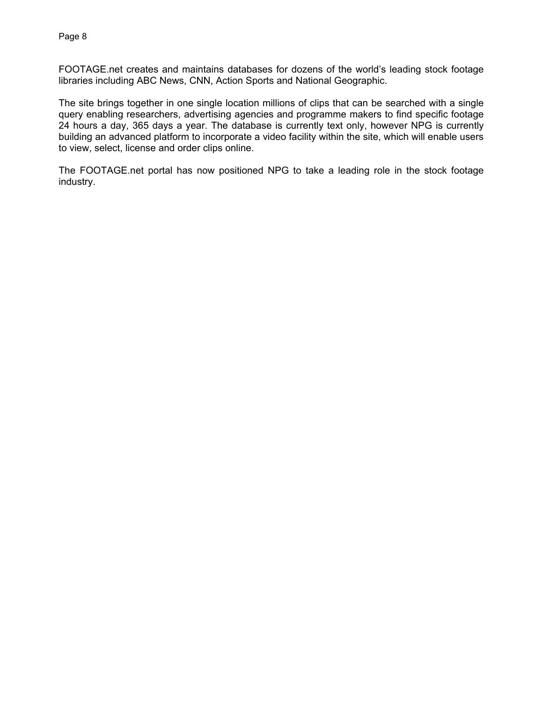FOOTAGE.net creates and maintains databases for dozens of the world's leading stock footage libraries including ABC News, CNN, Action Sports and National Geographic.

The site brings together in one single location millions of clips that can be searched with a single query enabling researchers, advertising agencies and programme makers to find specific footage 24 hours a day, 365 days a year. The database is currently text only, however NPG is currently building an advanced platform to incorporate a video facility within the site, which will enable users to view, select, license and order clips online.

The FOOTAGE.net portal has now positioned NPG to take a leading role in the stock footage industry.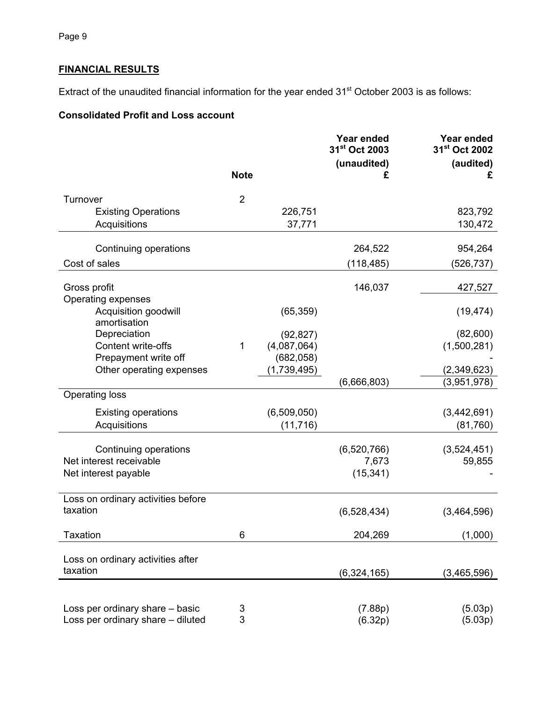# **FINANCIAL RESULTS**

Extract of the unaudited financial information for the year ended 31<sup>st</sup> October 2003 is as follows:

# **Consolidated Profit and Loss account**

|                                                  | <b>Note</b>    |             | Year ended<br>31 <sup>st</sup> Oct 2003<br>(unaudited)<br>£ | <b>Year ended</b><br>31 <sup>st</sup> Oct 2002<br>(audited)<br>£ |
|--------------------------------------------------|----------------|-------------|-------------------------------------------------------------|------------------------------------------------------------------|
|                                                  |                |             |                                                             |                                                                  |
| Turnover                                         | $\overline{2}$ |             |                                                             |                                                                  |
| <b>Existing Operations</b>                       |                | 226,751     |                                                             | 823,792                                                          |
| Acquisitions                                     |                | 37,771      |                                                             | 130,472                                                          |
| Continuing operations                            |                |             | 264,522                                                     | 954,264                                                          |
| Cost of sales                                    |                |             | (118,485)                                                   | (526, 737)                                                       |
| Gross profit                                     |                |             | 146,037                                                     | 427,527                                                          |
| Operating expenses                               |                |             |                                                             |                                                                  |
| Acquisition goodwill<br>amortisation             |                | (65, 359)   |                                                             | (19, 474)                                                        |
| Depreciation                                     |                | (92, 827)   |                                                             | (82,600)                                                         |
| Content write-offs                               | 1              | (4,087,064) |                                                             | (1,500,281)                                                      |
| Prepayment write off<br>Other operating expenses |                | (682, 058)  |                                                             |                                                                  |
|                                                  |                | (1,739,495) | (6,666,803)                                                 | (2,349,623)<br>(3,951,978)                                       |
| <b>Operating loss</b>                            |                |             |                                                             |                                                                  |
| <b>Existing operations</b>                       |                | (6,509,050) |                                                             | (3,442,691)                                                      |
| Acquisitions                                     |                | (11, 716)   |                                                             | (81,760)                                                         |
| Continuing operations                            |                |             | (6,520,766)                                                 | (3,524,451)                                                      |
| Net interest receivable                          |                |             | 7,673                                                       | 59,855                                                           |
| Net interest payable                             |                |             | (15, 341)                                                   |                                                                  |
| Loss on ordinary activities before               |                |             |                                                             |                                                                  |
| taxation                                         |                |             | (6,528,434)                                                 | (3,464,596)                                                      |
| Taxation                                         | 6              |             | 204,269                                                     | (1,000)                                                          |
| Loss on ordinary activities after                |                |             |                                                             |                                                                  |
| taxation                                         |                |             | (6,324,165)                                                 | (3,465,596)                                                      |
|                                                  |                |             |                                                             |                                                                  |
| Loss per ordinary share - basic                  | 3              |             | (7.88p)                                                     | (5.03p)                                                          |
| Loss per ordinary share - diluted                | 3              |             | (6.32p)                                                     | (5.03p)                                                          |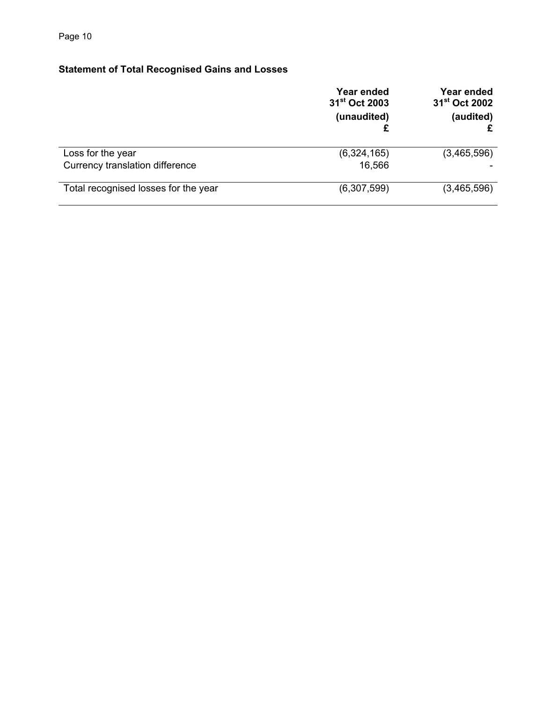# **Statement of Total Recognised Gains and Losses**

|                                      | Year ended<br>31 <sup>st</sup> Oct 2003<br>(unaudited) | Year ended<br>31 <sup>st</sup> Oct 2002<br>(audited) |
|--------------------------------------|--------------------------------------------------------|------------------------------------------------------|
| Loss for the year                    | (6,324,165)                                            | (3,465,596)                                          |
| Currency translation difference      | 16,566                                                 |                                                      |
| Total recognised losses for the year | (6,307,599)                                            | (3,465,596)                                          |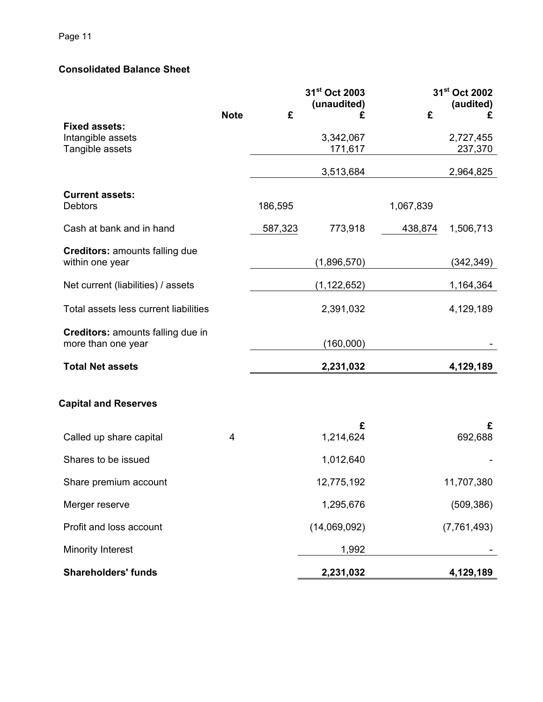# **Consolidated Balance Sheet**

|                                                          |             |         | 31st Oct 2003    | 31 <sup>st</sup> Oct 2002 |                |
|----------------------------------------------------------|-------------|---------|------------------|---------------------------|----------------|
|                                                          | <b>Note</b> | £       | (unaudited)<br>£ | £                         | (audited)<br>£ |
| <b>Fixed assets:</b><br>Intangible assets                |             |         | 3,342,067        |                           | 2,727,455      |
| Tangible assets                                          |             |         | 171,617          |                           | 237,370        |
|                                                          |             |         | 3,513,684        |                           | 2,964,825      |
| <b>Current assets:</b><br><b>Debtors</b>                 |             | 186,595 |                  | 1,067,839                 |                |
| Cash at bank and in hand                                 |             | 587,323 | 773,918          | 438,874                   | 1,506,713      |
| <b>Creditors: amounts falling due</b><br>within one year |             |         | (1,896,570)      |                           | (342, 349)     |
|                                                          |             |         |                  |                           |                |
| Net current (liabilities) / assets                       |             |         | (1, 122, 652)    |                           | 1,164,364      |
| Total assets less current liabilities                    |             |         | 2,391,032        |                           | 4,129,189      |
| Creditors: amounts falling due in<br>more than one year  |             |         | (160,000)        |                           |                |
| <b>Total Net assets</b>                                  |             |         | 2,231,032        |                           | 4,129,189      |
|                                                          |             |         |                  |                           |                |
| <b>Capital and Reserves</b>                              |             |         |                  |                           |                |
|                                                          |             |         | £                |                           | £              |
| Called up share capital                                  | 4           |         | 1,214,624        |                           | 692,688        |
| Shares to be issued                                      |             |         | 1,012,640        |                           |                |
| Share premium account                                    |             |         | 12,775,192       |                           | 11,707,380     |
| Merger reserve                                           |             |         | 1,295,676        |                           | (509, 386)     |
| Profit and loss account                                  |             |         | (14,069,092)     |                           | (7, 761, 493)  |
| <b>Minority Interest</b>                                 |             |         | 1,992            |                           |                |
| <b>Shareholders' funds</b>                               |             |         | 2,231,032        |                           | 4,129,189      |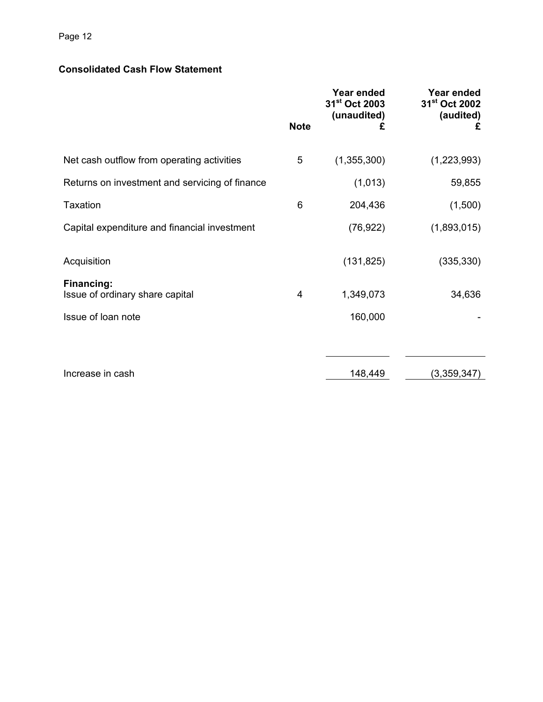# Page 12

# **Consolidated Cash Flow Statement**

|                                                      | <b>Note</b> | Year ended<br>31 <sup>st</sup> Oct 2003<br>(unaudited)<br>£ | Year ended<br>31 <sup>st</sup> Oct 2002<br>(audited)<br>£ |
|------------------------------------------------------|-------------|-------------------------------------------------------------|-----------------------------------------------------------|
| Net cash outflow from operating activities           | 5           | (1,355,300)                                                 | (1,223,993)                                               |
| Returns on investment and servicing of finance       |             | (1,013)                                                     | 59,855                                                    |
| <b>Taxation</b>                                      | 6           | 204,436                                                     | (1,500)                                                   |
| Capital expenditure and financial investment         |             | (76, 922)                                                   | (1,893,015)                                               |
| Acquisition                                          |             | (131, 825)                                                  | (335, 330)                                                |
| <b>Financing:</b><br>Issue of ordinary share capital | 4           | 1,349,073                                                   | 34,636                                                    |
| Issue of loan note                                   |             | 160,000                                                     |                                                           |
|                                                      |             |                                                             |                                                           |
| Increase in cash                                     |             | 148,449                                                     | (3,359,347)                                               |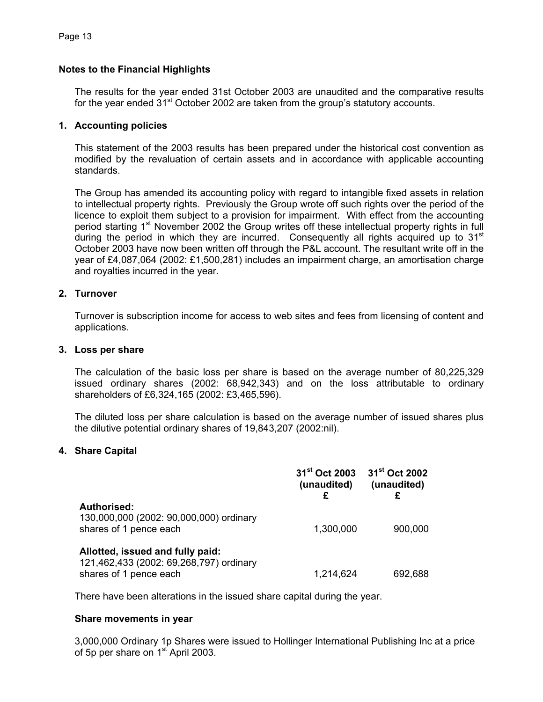#### **Notes to the Financial Highlights**

The results for the year ended 31st October 2003 are unaudited and the comparative results for the year ended  $31<sup>st</sup>$  October 2002 are taken from the group's statutory accounts.

#### **1. Accounting policies**

This statement of the 2003 results has been prepared under the historical cost convention as modified by the revaluation of certain assets and in accordance with applicable accounting standards.

The Group has amended its accounting policy with regard to intangible fixed assets in relation to intellectual property rights. Previously the Group wrote off such rights over the period of the licence to exploit them subject to a provision for impairment. With effect from the accounting period starting 1<sup>st</sup> November 2002 the Group writes off these intellectual property rights in full during the period in which they are incurred. Consequently all rights acquired up to 31<sup>st</sup> October 2003 have now been written off through the P&L account. The resultant write off in the year of £4,087,064 (2002: £1,500,281) includes an impairment charge, an amortisation charge and royalties incurred in the year.

#### **2. Turnover**

Turnover is subscription income for access to web sites and fees from licensing of content and applications.

#### **3. Loss per share**

The calculation of the basic loss per share is based on the average number of 80,225,329 issued ordinary shares (2002: 68,942,343) and on the loss attributable to ordinary shareholders of £6,324,165 (2002: £3,465,596).

The diluted loss per share calculation is based on the average number of issued shares plus the dilutive potential ordinary shares of 19,843,207 (2002:nil).

#### **4. Share Capital**

|                                                                                                       | 31 <sup>st</sup> Oct 2003<br>(unaudited) | 31 <sup>st</sup> Oct 2002<br>(unaudited) |
|-------------------------------------------------------------------------------------------------------|------------------------------------------|------------------------------------------|
| <b>Authorised:</b><br>130,000,000 (2002: 90,000,000) ordinary<br>shares of 1 pence each               | 1,300,000                                | 900,000                                  |
| Allotted, issued and fully paid:<br>121,462,433 (2002: 69,268,797) ordinary<br>shares of 1 pence each | 1,214,624                                | 692,688                                  |

There have been alterations in the issued share capital during the year.

#### **Share movements in year**

3,000,000 Ordinary 1p Shares were issued to Hollinger International Publishing Inc at a price of 5p per share on 1<sup>st</sup> April 2003.